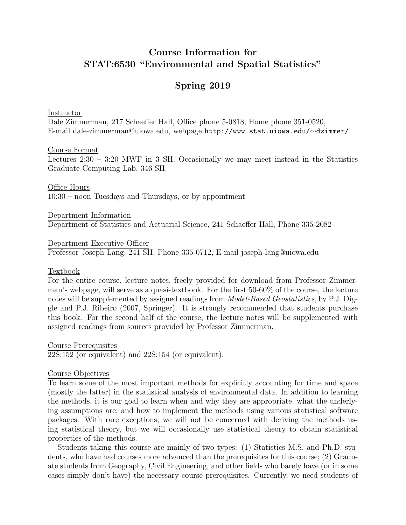# Course Information for STAT:6530 "Environmental and Spatial Statistics"

# Spring 2019

Instructor

Dale Zimmerman, 217 Schaeffer Hall, Office phone 5-0818, Home phone 351-0520, E-mail dale-zimmerman@uiowa.edu, webpage http://www.stat.uiowa.edu/∼dzimmer/

### Course Format

Lectures 2:30 – 3:20 MWF in 3 SH. Occasionally we may meet instead in the Statistics Graduate Computing Lab, 346 SH.

Office Hours 10:30 – noon Tuesdays and Thursdays, or by appointment

Department Information Department of Statistics and Actuarial Science, 241 Schaeffer Hall, Phone 335-2082

Department Executive Officer Professor Joseph Lang, 241 SH, Phone 335-0712, E-mail joseph-lang@uiowa.edu

### Textbook

For the entire course, lecture notes, freely provided for download from Professor Zimmerman's webpage, will serve as a quasi-textbook. For the first 50-60% of the course, the lecture notes will be supplemented by assigned readings from Model-Based Geostatistics, by P.J. Diggle and P.J. Ribeiro (2007, Springer). It is strongly recommended that students purchase this book. For the second half of the course, the lecture notes will be supplemented with assigned readings from sources provided by Professor Zimmerman.

Course Prerequisites 22S:152 (or equivalent) and 22S:154 (or equivalent).

### Course Objectives

To learn some of the most important methods for explicitly accounting for time and space (mostly the latter) in the statistical analysis of environmental data. In addition to learning the methods, it is our goal to learn when and why they are appropriate, what the underlying assumptions are, and how to implement the methods using various statistical software packages. With rare exceptions, we will not be concerned with deriving the methods using statistical theory, but we will occasionally use statistical theory to obtain statistical properties of the methods.

Students taking this course are mainly of two types: (1) Statistics M.S. and Ph.D. students, who have had courses more advanced than the prerequisites for this course; (2) Graduate students from Geography, Civil Engineering, and other fields who barely have (or in some cases simply don't have) the necessary course prerequisites. Currently, we need students of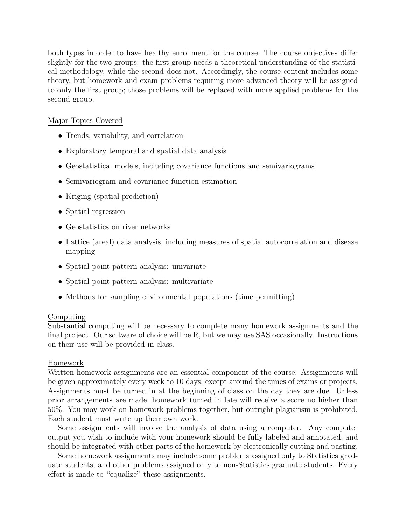both types in order to have healthy enrollment for the course. The course objectives differ slightly for the two groups: the first group needs a theoretical understanding of the statistical methodology, while the second does not. Accordingly, the course content includes some theory, but homework and exam problems requiring more advanced theory will be assigned to only the first group; those problems will be replaced with more applied problems for the second group.

### Major Topics Covered

- Trends, variability, and correlation
- Exploratory temporal and spatial data analysis
- Geostatistical models, including covariance functions and semivariograms
- Semivariogram and covariance function estimation
- Kriging (spatial prediction)
- Spatial regression
- Geostatistics on river networks
- Lattice (areal) data analysis, including measures of spatial autocorrelation and disease mapping
- Spatial point pattern analysis: univariate
- Spatial point pattern analysis: multivariate
- Methods for sampling environmental populations (time permitting)

# Computing

Substantial computing will be necessary to complete many homework assignments and the final project. Our software of choice will be R, but we may use SAS occasionally. Instructions on their use will be provided in class.

# Homework

Written homework assignments are an essential component of the course. Assignments will be given approximately every week to 10 days, except around the times of exams or projects. Assignments must be turned in at the beginning of class on the day they are due. Unless prior arrangements are made, homework turned in late will receive a score no higher than 50%. You may work on homework problems together, but outright plagiarism is prohibited. Each student must write up their own work.

Some assignments will involve the analysis of data using a computer. Any computer output you wish to include with your homework should be fully labeled and annotated, and should be integrated with other parts of the homework by electronically cutting and pasting.

Some homework assignments may include some problems assigned only to Statistics graduate students, and other problems assigned only to non-Statistics graduate students. Every effort is made to "equalize" these assignments.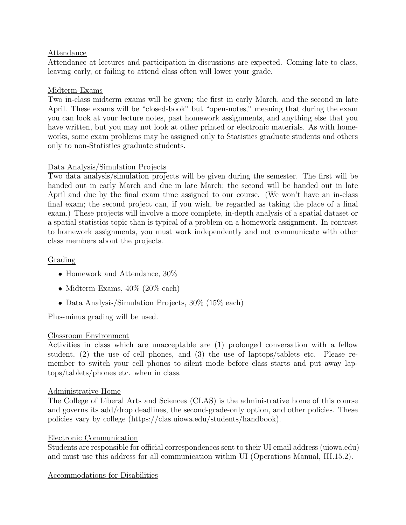# Attendance

Attendance at lectures and participation in discussions are expected. Coming late to class, leaving early, or failing to attend class often will lower your grade.

# Midterm Exams

Two in-class midterm exams will be given; the first in early March, and the second in late April. These exams will be "closed-book" but "open-notes," meaning that during the exam you can look at your lecture notes, past homework assignments, and anything else that you have written, but you may not look at other printed or electronic materials. As with homeworks, some exam problems may be assigned only to Statistics graduate students and others only to non-Statistics graduate students.

# Data Analysis/Simulation Projects

Two data analysis/simulation projects will be given during the semester. The first will be handed out in early March and due in late March; the second will be handed out in late April and due by the final exam time assigned to our course. (We won't have an in-class final exam; the second project can, if you wish, be regarded as taking the place of a final exam.) These projects will involve a more complete, in-depth analysis of a spatial dataset or a spatial statistics topic than is typical of a problem on a homework assignment. In contrast to homework assignments, you must work independently and not communicate with other class members about the projects.

# Grading

- Homework and Attendance, 30\%
- Midterm Exams,  $40\%$  (20% each)
- Data Analysis/Simulation Projects, 30\% (15\% each)

Plus-minus grading will be used.

# Classroom Environment

Activities in class which are unacceptable are (1) prolonged conversation with a fellow student,  $(2)$  the use of cell phones, and  $(3)$  the use of laptops/tablets etc. Please remember to switch your cell phones to silent mode before class starts and put away laptops/tablets/phones etc. when in class.

# Administrative Home

The College of Liberal Arts and Sciences (CLAS) is the administrative home of this course and governs its add/drop deadlines, the second-grade-only option, and other policies. These policies vary by college (https://clas.uiowa.edu/students/handbook).

# Electronic Communication

Students are responsible for official correspondences sent to their UI email address (uiowa.edu) and must use this address for all communication within UI (Operations Manual, III.15.2).

# Accommodations for Disabilities